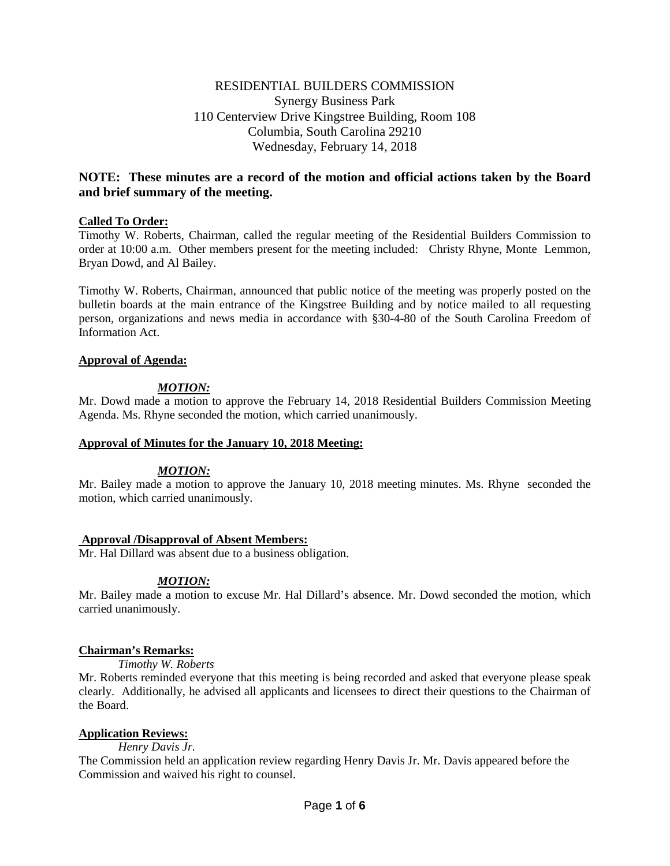# RESIDENTIAL BUILDERS COMMISSION Synergy Business Park 110 Centerview Drive Kingstree Building, Room 108 Columbia, South Carolina 29210 Wednesday, February 14, 2018

# **NOTE: These minutes are a record of the motion and official actions taken by the Board and brief summary of the meeting.**

# **Called To Order:**

Timothy W. Roberts, Chairman, called the regular meeting of the Residential Builders Commission to order at 10:00 a.m. Other members present for the meeting included: Christy Rhyne, Monte Lemmon, Bryan Dowd, and Al Bailey.

Timothy W. Roberts, Chairman, announced that public notice of the meeting was properly posted on the bulletin boards at the main entrance of the Kingstree Building and by notice mailed to all requesting person, organizations and news media in accordance with §30-4-80 of the South Carolina Freedom of Information Act.

# **Approval of Agenda:**

# *MOTION:*

Mr. Dowd made a motion to approve the February 14, 2018 Residential Builders Commission Meeting Agenda. Ms. Rhyne seconded the motion, which carried unanimously.

# **Approval of Minutes for the January 10, 2018 Meeting:**

# *MOTION:*

Mr. Bailey made a motion to approve the January 10, 2018 meeting minutes. Ms. Rhyne seconded the motion, which carried unanimously.

# **Approval /Disapproval of Absent Members:**

Mr. Hal Dillard was absent due to a business obligation.

# *MOTION:*

Mr. Bailey made a motion to excuse Mr. Hal Dillard's absence. Mr. Dowd seconded the motion, which carried unanimously.

# **Chairman's Remarks:**

*Timothy W. Roberts*

Mr. Roberts reminded everyone that this meeting is being recorded and asked that everyone please speak clearly. Additionally, he advised all applicants and licensees to direct their questions to the Chairman of the Board.

# **Application Reviews:**

*Henry Davis Jr.* 

The Commission held an application review regarding Henry Davis Jr. Mr. Davis appeared before the Commission and waived his right to counsel.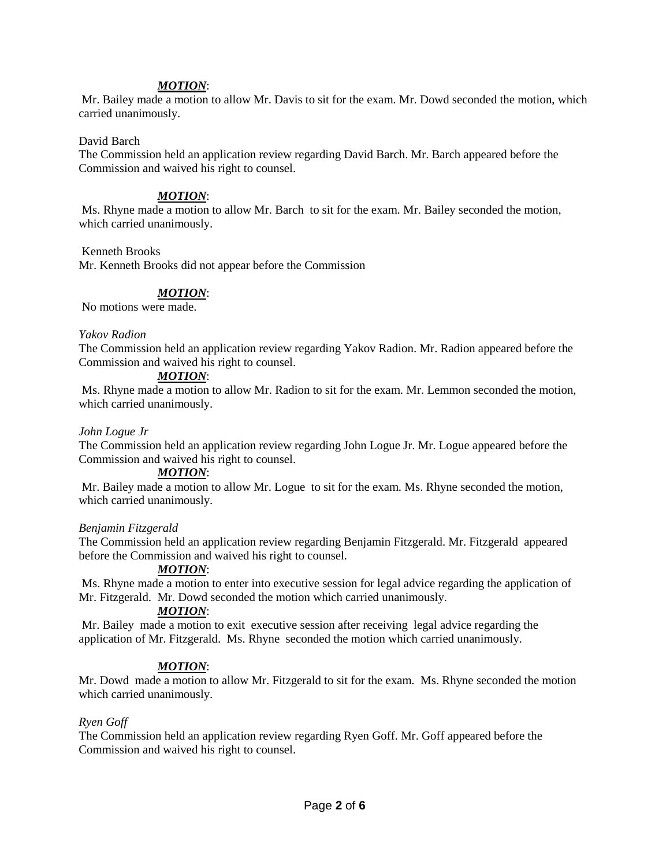# *MOTION*:

Mr. Bailey made a motion to allow Mr. Davis to sit for the exam. Mr. Dowd seconded the motion, which carried unanimously.

## David Barch

The Commission held an application review regarding David Barch. Mr. Barch appeared before the Commission and waived his right to counsel.

# *MOTION*:

Ms. Rhyne made a motion to allow Mr. Barch to sit for the exam. Mr. Bailey seconded the motion, which carried unanimously.

### Kenneth Brooks

Mr. Kenneth Brooks did not appear before the Commission

# *MOTION*:

No motions were made.

### *Yakov Radion*

The Commission held an application review regarding Yakov Radion. Mr. Radion appeared before the Commission and waived his right to counsel.

# *MOTION*:

Ms. Rhyne made a motion to allow Mr. Radion to sit for the exam. Mr. Lemmon seconded the motion, which carried unanimously.

### *John Logue Jr*

The Commission held an application review regarding John Logue Jr. Mr. Logue appeared before the Commission and waived his right to counsel.

#### *MOTION*:

Mr. Bailey made a motion to allow Mr. Logue to sit for the exam. Ms. Rhyne seconded the motion, which carried unanimously.

# *Benjamin Fitzgerald*

The Commission held an application review regarding Benjamin Fitzgerald. Mr. Fitzgerald appeared before the Commission and waived his right to counsel.

# *MOTION*:

Ms. Rhyne made a motion to enter into executive session for legal advice regarding the application of Mr. Fitzgerald. Mr. Dowd seconded the motion which carried unanimously.

# *MOTION*:

Mr. Bailey made a motion to exit executive session after receiving legal advice regarding the application of Mr. Fitzgerald. Ms. Rhyne seconded the motion which carried unanimously.

# *MOTION*:

Mr. Dowd made a motion to allow Mr. Fitzgerald to sit for the exam. Ms. Rhyne seconded the motion which carried unanimously.

# *Ryen Goff*

The Commission held an application review regarding Ryen Goff. Mr. Goff appeared before the Commission and waived his right to counsel.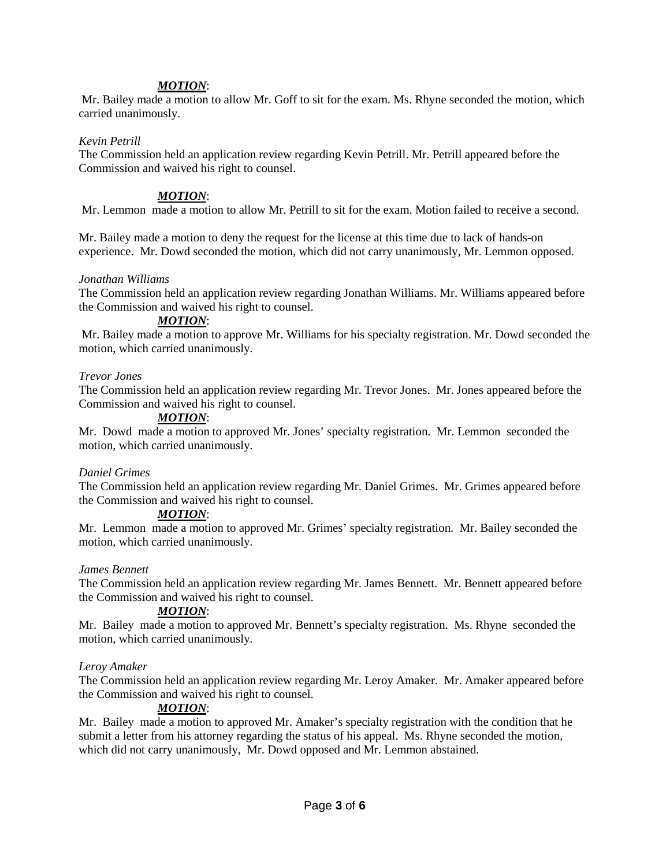# *MOTION*:

Mr. Bailey made a motion to allow Mr. Goff to sit for the exam. Ms. Rhyne seconded the motion, which carried unanimously.

## *Kevin Petrill*

The Commission held an application review regarding Kevin Petrill. Mr. Petrill appeared before the Commission and waived his right to counsel.

# *MOTION*:

Mr. Lemmon made a motion to allow Mr. Petrill to sit for the exam. Motion failed to receive a second.

Mr. Bailey made a motion to deny the request for the license at this time due to lack of hands-on experience. Mr. Dowd seconded the motion, which did not carry unanimously, Mr. Lemmon opposed.

### *Jonathan Williams*

The Commission held an application review regarding Jonathan Williams. Mr. Williams appeared before the Commission and waived his right to counsel.

### *MOTION*:

Mr. Bailey made a motion to approve Mr. Williams for his specialty registration. Mr. Dowd seconded the motion, which carried unanimously.

### *Trevor Jones*

The Commission held an application review regarding Mr. Trevor Jones. Mr. Jones appeared before the Commission and waived his right to counsel.

### *MOTION*:

Mr. Dowd made a motion to approved Mr. Jones' specialty registration. Mr. Lemmon seconded the motion, which carried unanimously.

# *Daniel Grimes*

The Commission held an application review regarding Mr. Daniel Grimes. Mr. Grimes appeared before the Commission and waived his right to counsel.

# *MOTION*:

Mr. Lemmon made a motion to approved Mr. Grimes' specialty registration. Mr. Bailey seconded the motion, which carried unanimously.

#### *James Bennett*

The Commission held an application review regarding Mr. James Bennett. Mr. Bennett appeared before the Commission and waived his right to counsel.

# *MOTION*:

Mr. Bailey made a motion to approved Mr. Bennett's specialty registration. Ms. Rhyne seconded the motion, which carried unanimously.

#### *Leroy Amaker*

The Commission held an application review regarding Mr. Leroy Amaker. Mr. Amaker appeared before the Commission and waived his right to counsel.

# *MOTION*:

Mr. Bailey made a motion to approved Mr. Amaker's specialty registration with the condition that he submit a letter from his attorney regarding the status of his appeal. Ms. Rhyne seconded the motion, which did not carry unanimously, Mr. Dowd opposed and Mr. Lemmon abstained.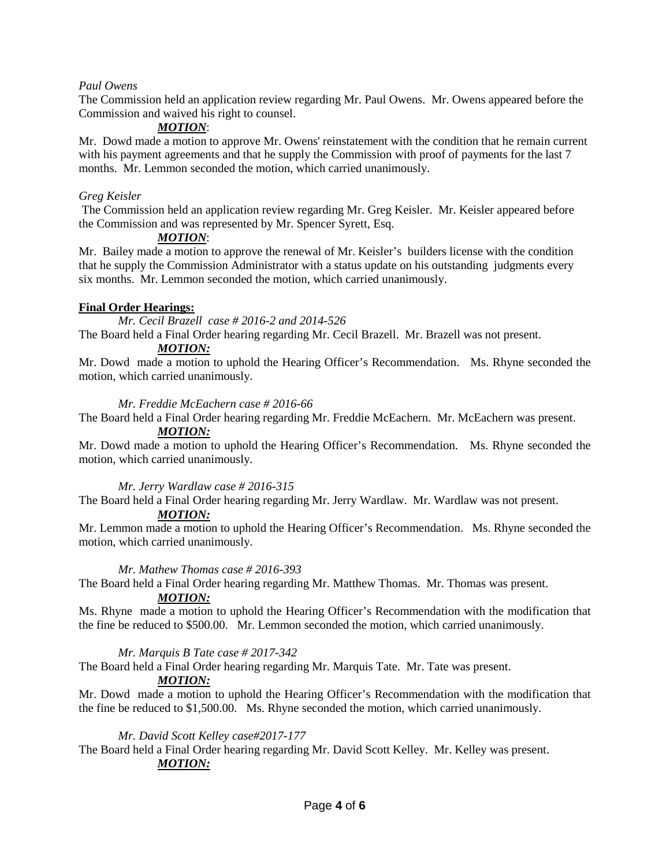# *Paul Owens*

The Commission held an application review regarding Mr. Paul Owens. Mr. Owens appeared before the Commission and waived his right to counsel.

# *MOTION*:

Mr. Dowd made a motion to approve Mr. Owens' reinstatement with the condition that he remain current with his payment agreements and that he supply the Commission with proof of payments for the last 7 months. Mr. Lemmon seconded the motion, which carried unanimously.

# *Greg Keisler*

The Commission held an application review regarding Mr. Greg Keisler. Mr. Keisler appeared before the Commission and was represented by Mr. Spencer Syrett, Esq.

# *MOTION*:

Mr. Bailey made a motion to approve the renewal of Mr. Keisler's builders license with the condition that he supply the Commission Administrator with a status update on his outstanding judgments every six months. Mr. Lemmon seconded the motion, which carried unanimously.

# **Final Order Hearings:**

*Mr. Cecil Brazell case # 2016-2 and 2014-526*

The Board held a Final Order hearing regarding Mr. Cecil Brazell. Mr. Brazell was not present.

# *MOTION:*

Mr. Dowd made a motion to uphold the Hearing Officer's Recommendation. Ms. Rhyne seconded the motion, which carried unanimously.

# *Mr. Freddie McEachern case # 2016-66*

The Board held a Final Order hearing regarding Mr. Freddie McEachern. Mr. McEachern was present.

# *MOTION:*

Mr. Dowd made a motion to uphold the Hearing Officer's Recommendation. Ms. Rhyne seconded the motion, which carried unanimously.

# *Mr. Jerry Wardlaw case # 2016-315*

The Board held a Final Order hearing regarding Mr. Jerry Wardlaw. Mr. Wardlaw was not present. *MOTION:*

Mr. Lemmon made a motion to uphold the Hearing Officer's Recommendation. Ms. Rhyne seconded the motion, which carried unanimously.

# *Mr. Mathew Thomas case # 2016-393*

The Board held a Final Order hearing regarding Mr. Matthew Thomas. Mr. Thomas was present.

# *MOTION:*

Ms. Rhyne made a motion to uphold the Hearing Officer's Recommendation with the modification that the fine be reduced to \$500.00. Mr. Lemmon seconded the motion, which carried unanimously.

# *Mr. Marquis B Tate case # 2017-342*

The Board held a Final Order hearing regarding Mr. Marquis Tate. Mr. Tate was present.

# *MOTION:*

Mr. Dowd made a motion to uphold the Hearing Officer's Recommendation with the modification that the fine be reduced to \$1,500.00. Ms. Rhyne seconded the motion, which carried unanimously.

# *Mr. David Scott Kelley case#2017-177*

The Board held a Final Order hearing regarding Mr. David Scott Kelley. Mr. Kelley was present. *MOTION:*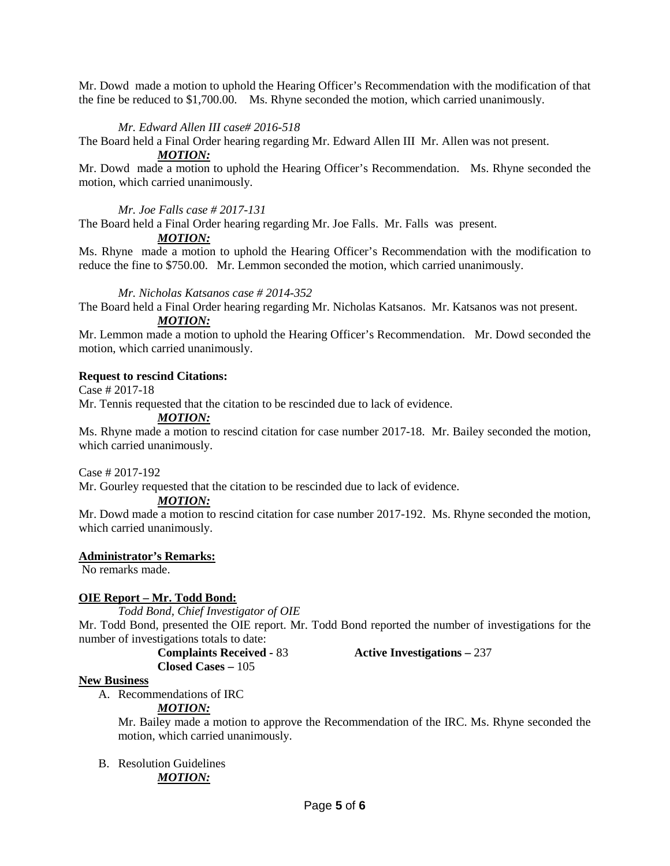Mr. Dowd made a motion to uphold the Hearing Officer's Recommendation with the modification of that the fine be reduced to \$1,700.00. Ms. Rhyne seconded the motion, which carried unanimously.

# *Mr. Edward Allen III case# 2016-518*

The Board held a Final Order hearing regarding Mr. Edward Allen III Mr. Allen was not present.

# *MOTION:*

Mr. Dowd made a motion to uphold the Hearing Officer's Recommendation. Ms. Rhyne seconded the motion, which carried unanimously.

# *Mr. Joe Falls case # 2017-131*

The Board held a Final Order hearing regarding Mr. Joe Falls. Mr. Falls was present.

*MOTION:*

Ms. Rhyne made a motion to uphold the Hearing Officer's Recommendation with the modification to reduce the fine to \$750.00. Mr. Lemmon seconded the motion, which carried unanimously.

# *Mr. Nicholas Katsanos case # 2014-352*

The Board held a Final Order hearing regarding Mr. Nicholas Katsanos. Mr. Katsanos was not present. *MOTION:*

Mr. Lemmon made a motion to uphold the Hearing Officer's Recommendation. Mr. Dowd seconded the motion, which carried unanimously.

# **Request to rescind Citations:**

Case # 2017-18

Mr. Tennis requested that the citation to be rescinded due to lack of evidence.

*MOTION:*

Ms. Rhyne made a motion to rescind citation for case number 2017-18. Mr. Bailey seconded the motion, which carried unanimously.

Case # 2017-192

Mr. Gourley requested that the citation to be rescinded due to lack of evidence.

# *MOTION:*

Mr. Dowd made a motion to rescind citation for case number 2017-192. Ms. Rhyne seconded the motion, which carried unanimously.

# **Administrator's Remarks:**

No remarks made.

# **OIE Report – Mr. Todd Bond:**

*Todd Bond, Chief Investigator of OIE*

Mr. Todd Bond, presented the OIE report. Mr. Todd Bond reported the number of investigations for the number of investigations totals to date:

**Closed Cases –** 105

**Complaints Received -** 83 **Active Investigations –** 237

# **New Business**

A. Recommendations of IRC

*MOTION:*

Mr. Bailey made a motion to approve the Recommendation of the IRC. Ms. Rhyne seconded the motion, which carried unanimously.

B. Resolution Guidelines *MOTION:*